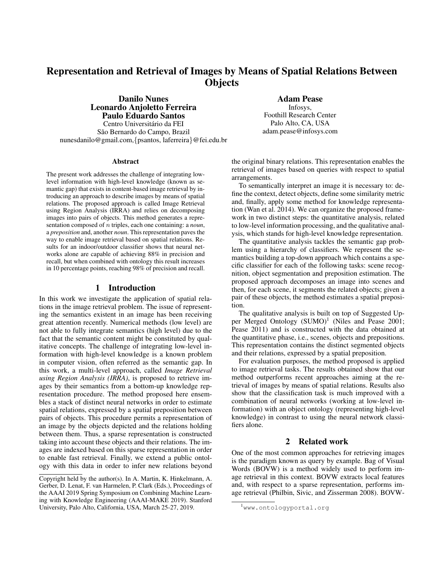# Representation and Retrieval of Images by Means of Spatial Relations Between **Objects**

Danilo Nunes Leonardo Anjoletto Ferreira Paulo Eduardo Santos Centro Universitario da FEI ´ São Bernardo do Campo, Brazil nunesdanilo@gmail.com,{psantos, laferreira}@fei.edu.br

#### Abstract

The present work addresses the challenge of integrating lowlevel information with high-level knowledge (known as semantic gap) that exists in content-based image retrieval by introducing an approach to describe images by means of spatial relations. The proposed approach is called Image Retrieval using Region Analysis (IRRA) and relies on decomposing images into pairs of objects. This method generates a representation composed of n triples, each one containing: a *noun*, a *preposition* and, another *noun*. This representation paves the way to enable image retrieval based on spatial relations. Results for an indoor/outdoor classifier shows that neural networks alone are capable of achieving 88% in precision and recall, but when combined with ontology this result increases in 10 percentage points, reaching 98% of precision and recall.

#### 1 Introduction

In this work we investigate the application of spatial relations in the image retrieval problem. The issue of representing the semantics existent in an image has been receiving great attention recently. Numerical methods (low level) are not able to fully integrate semantics (high level) due to the fact that the semantic content might be constituted by qualitative concepts. The challenge of integrating low-level information with high-level knowledge is a known problem in computer vision, often referred as the semantic gap. In this work, a multi-level approach, called *Image Retrieval using Region Analysis (IRRA)*, is proposed to retrieve images by their semantics from a bottom-up knowledge representation procedure. The method proposed here ensembles a stack of distinct neural networks in order to estimate spatial relations, expressed by a spatial preposition between pairs of objects. This procedure permits a representation of an image by the objects depicted and the relations holding between them. Thus, a sparse representation is constructed taking into account these objects and their relations. The images are indexed based on this sparse representation in order to enable fast retrieval. Finally, we extend a public ontology with this data in order to infer new relations beyond Adam Pease

Infosys, Foothill Research Center Palo Alto, CA, USA adam.pease@infosys.com

the original binary relations. This representation enables the retrieval of images based on queries with respect to spatial arrangements.

To semantically interpret an image it is necessary to: define the context, detect objects, define some similarity metric and, finally, apply some method for knowledge representation (Wan et al. 2014). We can organize the proposed framework in two distinct steps: the quantitative analysis, related to low-level information processing, and the qualitative analysis, which stands for high-level knowledge representation.

The quantitative analysis tackles the semantic gap problem using a hierarchy of classifiers. We represent the semantics building a top-down approach which contains a specific classifier for each of the following tasks: scene recognition, object segmentation and preposition estimation. The proposed approach decomposes an image into scenes and then, for each scene, it segments the related objects; given a pair of these objects, the method estimates a spatial preposition.

The qualitative analysis is built on top of Suggested Upper Merged Ontology  $(SUMO)^1$  (Niles and Pease 2001; Pease 2011) and is constructed with the data obtained at the quantitative phase, i.e., scenes, objects and prepositions. This representation contains the distinct segmented objects and their relations, expressed by a spatial preposition.

For evaluation purposes, the method proposed is applied to image retrieval tasks. The results obtained show that our method outperforms recent approaches aiming at the retrieval of images by means of spatial relations. Results also show that the classification task is much improved with a combination of neural networks (working at low-level information) with an object ontology (representing high-level knowledge) in contrast to using the neural network classifiers alone.

#### 2 Related work

One of the most common approaches for retrieving images is the paradigm known as query by example. Bag of Visual Words (BOVW) is a method widely used to perform image retrieval in this context. BOVW extracts local features and, with respect to a sparse representation, performs image retrieval (Philbin, Sivic, and Zisserman 2008). BOVW-

Copyright held by the author(s). In A. Martin, K. Hinkelmann, A. Gerber, D. Lenat, F. van Harmelen, P. Clark (Eds.), Proceedings of the AAAI 2019 Spring Symposium on Combining Machine Learning with Knowledge Engineering (AAAI-MAKE 2019). Stanford University, Palo Alto, California, USA, March 25-27, 2019.

<sup>1</sup>www.ontologyportal.org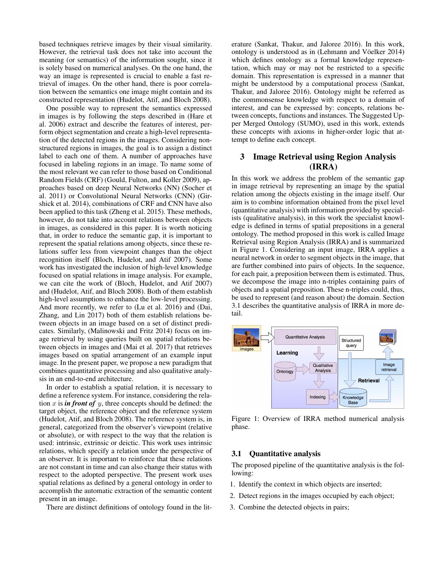based techniques retrieve images by their visual similarity. However, the retrieval task does not take into account the meaning (or semantics) of the information sought, since it is solely based on numerical analyses. On the one hand, the way an image is represented is crucial to enable a fast retrieval of images. On the other hand, there is poor correlation between the semantics one image might contain and its constructed representation (Hudelot, Atif, and Bloch 2008).

One possible way to represent the semantics expressed in images is by following the steps described in (Hare et al. 2006) extract and describe the features of interest, perform object segmentation and create a high-level representation of the detected regions in the images. Considering nonstructured regions in images, the goal is to assign a distinct label to each one of them. A number of approaches have focused in labeling regions in an image. To name some of the most relevant we can refer to those based on Conditional Random Fields (CRF) (Gould, Fulton, and Koller 2009), approaches based on deep Neural Networks (NN) (Socher et al. 2011) or Convolutional Neural Networks (CNN) (Girshick et al. 2014), combinations of CRF and CNN have also been applied to this task (Zheng et al. 2015). These methods, however, do not take into account relations between objects in images, as considered in this paper. It is worth noticing that, in order to reduce the semantic gap, it is important to represent the spatial relations among objects, since these relations suffer less from viewpoint changes than the object recognition itself (Bloch, Hudelot, and Atif 2007). Some work has investigated the inclusion of high-level knowledge focused on spatial relations in image analysis. For example, we can cite the work of (Bloch, Hudelot, and Atif 2007) and (Hudelot, Atif, and Bloch 2008). Both of them establish high-level assumptions to enhance the low-level processing. And more recently, we refer to (Lu et al. 2016) and (Dai, Zhang, and Lin 2017) both of them establish relations between objects in an image based on a set of distinct predicates. Similarly, (Malinowski and Fritz 2014) focus on image retrieval by using queries built on spatial relations between objects in images and (Mai et al. 2017) that retrieves images based on spatial arrangement of an example input image. In the present paper, we propose a new paradigm that combines quantitative processing and also qualitative analysis in an end-to-end architecture.

In order to establish a spatial relation, it is necessary to define a reference system. For instance, considering the relation  $x$  is *in front of*  $y$ , three concepts should be defined: the target object, the reference object and the reference system (Hudelot, Atif, and Bloch 2008). The reference system is, in general, categorized from the observer's viewpoint (relative or absolute), or with respect to the way that the relation is used: intrinsic, extrinsic or deictic. This work uses intrinsic relations, which specify a relation under the perspective of an observer. It is important to reinforce that these relations are not constant in time and can also change their status with respect to the adopted perspective. The present work uses spatial relations as defined by a general ontology in order to accomplish the automatic extraction of the semantic content present in an image.

There are distinct definitions of ontology found in the lit-

erature (Sankat, Thakur, and Jaloree 2016). In this work, ontology is understood as in (Lehmann and Vöelker 2014) which defines ontology as a formal knowledge representation, which may or may not be restricted to a specific domain. This representation is expressed in a manner that might be understood by a computational process (Sankat, Thakur, and Jaloree 2016). Ontology might be referred as the commonsense knowledge with respect to a domain of interest, and can be expressed by: concepts, relations between concepts, functions and instances. The Suggested Upper Merged Ontology (SUMO), used in this work, extends these concepts with axioms in higher-order logic that attempt to define each concept.

# 3 Image Retrieval using Region Analysis (IRRA)

In this work we address the problem of the semantic gap in image retrieval by representing an image by the spatial relation among the objects existing in the image itself. Our aim is to combine information obtained from the pixel level (quantitative analysis) with information provided by specialists (qualitative analysis), in this work the specialist knowledge is defined in terms of spatial prepositions in a general ontology. The method proposed in this work is called Image Retrieval using Region Analysis (IRRA) and is summarized in Figure 1. Considering an input image, IRRA applies a neural network in order to segment objects in the image, that are further combined into pairs of objects. In the sequence, for each pair, a preposition between them is estimated. Thus, we decompose the image into n-triples containing pairs of objects and a spatial preposition. These n-triples could, thus, be used to represent (and reason about) the domain. Section 3.1 describes the quantitative analysis of IRRA in more detail.



Figure 1: Overview of IRRA method numerical analysis phase.

#### 3.1 Quantitative analysis

The proposed pipeline of the quantitative analysis is the following:

- 1. Identify the context in which objects are inserted;
- 2. Detect regions in the images occupied by each object;
- 3. Combine the detected objects in pairs;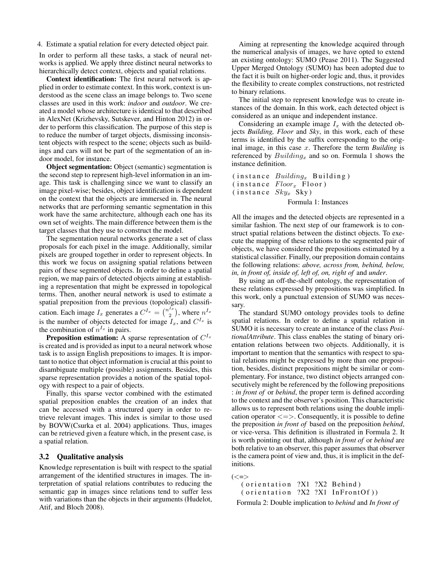4. Estimate a spatial relation for every detected object pair.

In order to perform all these tasks, a stack of neural networks is applied. We apply three distinct neural networks to hierarchically detect context, objects and spatial relations.

Context identification: The first neural network is applied in order to estimate context. In this work, context is understood as the scene class an image belongs to. Two scene classes are used in this work: *indoor* and *outdoor*. We created a model whose architecture is identical to that described in AlexNet (Krizhevsky, Sutskever, and Hinton 2012) in order to perform this classification. The purpose of this step is to reduce the number of target objects, dismissing inconsistent objects with respect to the scene; objects such as buildings and cars will not be part of the segmentation of an indoor model, for instance.

Object segmentation: Object (semantic) segmentation is the second step to represent high-level information in an image. This task is challenging since we want to classify an image pixel-wise; besides, object identification is dependent on the context that the objects are immersed in. The neural networks that are performing semantic segmentation in this work have the same architecture, although each one has its own set of weights. The main difference between them is the target classes that they use to construct the model.

The segmentation neural networks generate a set of class proposals for each pixel in the image. Additionally, similar pixels are grouped together in order to represent objects. In this work we focus on assigning spatial relations between pairs of these segmented objects. In order to define a spatial region, we map pairs of detected objects aiming at establishing a representation that might be expressed in topological terms. Then, another neural network is used to estimate a spatial preposition from the previous (topological) classification. Each image  $I_x$  generates a  $C^{I_x} = \binom{n^{I_x}}{2}$  $\binom{1}{2}$ , where  $n^{I_x}$ is the number of objects detected for image  $I_x$ , and  $C^{I_x}$  is the combination of  $n^{I_x}$  in pairs.

**Preposition estimation:** A sparse representation of  $C^{I_x}$ is created and is provided as input to a neural network whose task is to assign English prepositions to images. It is important to notice that object information is crucial at this point to disambiguate multiple (possible) assignments. Besides, this sparse representation provides a notion of the spatial topology with respect to a pair of objects.

Finally, this sparse vector combined with the estimated spatial preposition enables the creation of an index that can be accessed with a structured query in order to retrieve relevant images. This index is similar to those used by BOVW(Csurka et al. 2004) applications. Thus, images can be retrieved given a feature which, in the present case, is a spatial relation.

#### 3.2 Qualitative analysis

Knowledge representation is built with respect to the spatial arrangement of the identified structures in images. The interpretation of spatial relations contributes to reducing the semantic gap in images since relations tend to suffer less with variations than the objects in their arguments (Hudelot, Atif, and Bloch 2008).

Aiming at representing the knowledge acquired through the numerical analysis of images, we have opted to extend an existing ontology: SUMO (Pease 2011). The Suggested Upper Merged Ontology (SUMO) has been adopted due to the fact it is built on higher-order logic and, thus, it provides the flexibility to create complex constructions, not restricted to binary relations.

The initial step to represent knowledge was to create instances of the domain. In this work, each detected object is considered as an unique and independent instance.

Considering an example image  $I_x$  with the detected objects *Building, Floor* and *Sky*, in this work, each of these terms is identified by the suffix corresponding to the original image, in this case x. Therefore the term *Building* is referenced by  $Building_x$  and so on. Formula 1 shows the instance definition.

```
( instance Building_x Building)
(instance\ Floor_x\ Floor)(instance \; Sky_x \; Sky)
```
#### Formula 1: Instances

All the images and the detected objects are represented in a similar fashion. The next step of our framework is to construct spatial relations between the distinct objects. To execute the mapping of these relations to the segmented pair of objects, we have considered the prepositions estimated by a statistical classifier. Finally, our preposition domain contains the following relations: *above, across from, behind, below, in, in front of, inside of, left of, on, right of* and *under*.

By using an off-the-shelf ontology, the representation of these relations expressed by prepositions was simplified. In this work, only a punctual extension of SUMO was necessary.

The standard SUMO ontology provides tools to define spatial relations. In order to define a spatial relation in SUMO it is necessary to create an instance of the class *PositionalAttribute*. This class enables the stating of binary orientation relations between two objects. Additionally, it is important to mention that the semantics with respect to spatial relations might be expressed by more than one preposition, besides, distinct prepositions might be similar or complementary. For instance, two distinct objects arranged consecutively might be referenced by the following prepositions : *in front of* or *behind*, the proper term is defined according to the context and the observer's position. This characteristic allows us to represent both relations using the double implication operator  $\le$   $\ge$ . Consequently, it is possible to define the preposition *in front of* based on the preposition *behind*, or vice-versa. This definition is illustrated in Formula 2. It is worth pointing out that, although *in front of* or *behind* are both relative to an observer, this paper assumes that observer is the camera point of view and, thus, it is implicit in the definitions.

```
(< = >
```
 $($  orientation  $?XI$   $?X2$  Behind)  $($  orientation  $?X2$   $?X1$  In Front Of  $))$ Formula 2: Double implication to *behind* and *In front of*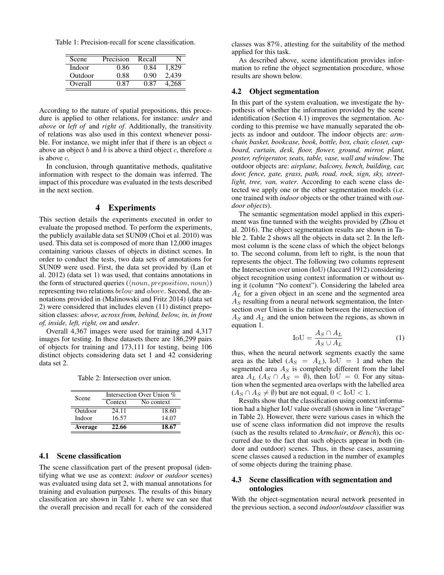Table 1: Precision-recall for scene classification.

| Scene   | Precision | Recall |       |
|---------|-----------|--------|-------|
| Indoor  | 0.86      | 0.84   | 1.829 |
| Outdoor | 0.88      | 0.90   | 2,439 |
| Overall | በ ጸ7      | 0.87   | 4.268 |

According to the nature of spatial prepositions, this procedure is applied to other relations, for instance: *under* and *above* or *left of* and *right of*. Additionally, the transitivity of relations was also used in this context whenever possible. For instance, we might infer that if there is an object  $a$ above an object  $b$  and  $b$  is above a third object  $c$ , therefore  $a$ is above c.

In conclusion, through quantitative methods, qualitative information with respect to the domain was inferred. The impact of this procedure was evaluated in the tests described in the next section.

## 4 Experiments

This section details the experiments executed in order to evaluate the proposed method. To perform the experiments, the publicly available data set SUN09 (Choi et al. 2010) was used. This data set is composed of more than 12,000 images containing various classes of objects in distinct scenes. In order to conduct the tests, two data sets of annotations for SUN09 were used. First, the data set provided by (Lan et al. 2012) (data set 1) was used, that contains annotations in the form of structured queries ( $\langle noun, preposition, noun \rangle$ ) representing two relations below and above. Second, the annotations provided in (Malinowski and Fritz 2014) (data set 2) were considered that includes eleven (11) distinct preposition classes: *above, across from, behind, below, in, in front of, inside, left, right, on* and *under*.

Overall 4,367 images were used for training and 4,317 images for testing. In these datasets there are 186,299 pairs of objects for training and 173,111 for testing, being 106 distinct objects considering data set 1 and 42 considering data set 2.

Table 2: Intersection over union.

| Scene          | Intersection Over Union % |            |  |
|----------------|---------------------------|------------|--|
|                | Context                   | No context |  |
| Outdoor        | 24.11                     | 18.60      |  |
| Indoor         | 16.57                     | 14.07      |  |
| <b>Average</b> | 22.66                     | 18.67      |  |

### 4.1 Scene classification

The scene classification part of the present proposal (identifying what we use as context: *indoor* or *outdoor* scenes) was evaluated using data set 2, with manual annotations for training and evaluation purposes. The results of this binary classification are shown in Table 1, where we can see that the overall precision and recall for each of the considered

classes was 87%, attesting for the suitability of the method applied for this task.

As described above, scene identification provides information to refine the object segmentation procedure, whose results are shown below.

#### 4.2 Object segmentation

In this part of the system evaluation, we investigate the hypothesis of whether the information provided by the scene identification (Section 4.1) improves the segmentation. According to this premise we have manually separated the objects as indoor and outdoor. The indoor objects are: *armchair, basket, bookcase, book, bottle, box, chair, closet, cupboard, curtain, desk, floor, flower, ground, mirror, plant, poster, refrigerator, seats, table, vase, wall and window*. The outdoor objects are: *airplane, balcony, bench, building, car, door, fence, gate, grass, path, road, rock, sign, sky, streetlight, tree, van, water*. According to each scene class detected we apply one or the other segmentation models (i.e. one trained with *indoor* objects or the other trained with *outdoor objects*).

The semantic segmentation model applied in this experiment was fine tunned with the weights provided by (Zhou et al. 2016). The object segmentation results are shown in Table 2. Table 2 shows all the objects in data set 2. In the leftmost column is the scene class of which the object belongs to. The second column, from left to right, is the noun that represents the object. The following two columns represent the Intersection over union (IoU) (Jaccard 1912) considering object recognition using context information or without using it (column "No context"). Considering the labeled area  $A_L$  for a given object in an scene and the segmented area  $A<sub>S</sub>$  resulting from a neural network segmentation, the Intersection over Union is the ration between the intersection of  $A<sub>S</sub>$  and  $A<sub>L</sub>$  and the union between the regions, as shown in equation 1.

$$
IoU = \frac{A_S \cap A_L}{A_S \cup A_L} \tag{1}
$$

thus, when the neural network segments exactly the same area as the label  $(A<sub>S</sub> = A<sub>L</sub>)$ , IoU = 1 and when the segmented area  $A<sub>S</sub>$  is completely different from the label area  $A_L$  ( $A_S \cap A_S = \emptyset$ ), then IoU = 0. For any situation when the segmented area overlaps with the labelled area  $(A_S \cap A_S \neq \emptyset)$  but are not equal,  $0 <$  IoU  $< 1$ .

Results show that the classification using context information had a higher IoU value overall (shown in line "Average" in Table 2). However, there were various cases in which the use of scene class information did not improve the results (such as the results related to *Armchair*, or *Bench*), this occurred due to the fact that such objects appear in both (indoor and outdoor) scenes. Thus, in these cases, assuming scene classes caused a reduction in the number of examples of some objects during the training phase.

#### 4.3 Scene classification with segmentation and ontologies

With the object-segmentation neural network presented in the previous section, a second *indoor*/*outdoor* classifier was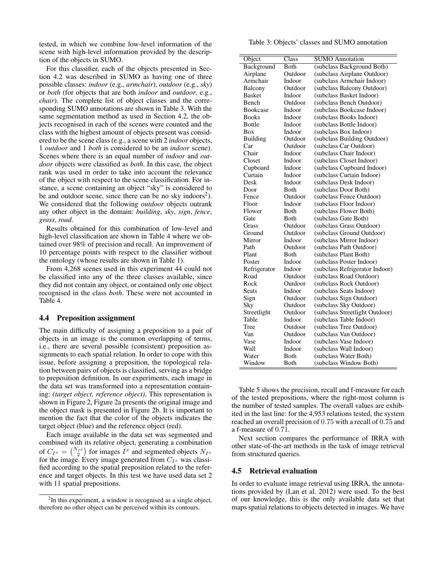tested, in which we combine low-level information of the scene with high-level information provided by the description of the objects in SUMO.

For this classifier, each of the objects presented in Section 4.2 was described in SUMO as having one of three possible classes: *indoor* (e.g., *armchair*), *outdoor* (e.g., *sky*) or *both* (for objects that are both *indoor* and *outdoor*, e.g., *chair*). The complete list of object classes and the corresponding SUMO annotations are shown in Table 3. With the same segmentation method as used in Section 4.2, the objects recognised in each of the scenes were counted and the class with the highest amount of objects present was considered to be the scene class (e.g., a scene with 2 *indoor* objects, 1 *outdoor* and 1 *both* is considered to be an *indoor* scene). Scenes where there is an equal number of *indoor* and *outdoor* objects were classified as *both*. In this case, the object rank was used in order to take into account the relevance of the object with respect to the scene classification. For instance, a scene containing an object "sky" is considered to be and outdoor scene, since there can be no sky indoors<sup>2</sup>). We considered that the following *outdoor* objects outrank any other object in the domain: *building*, *sky*, *sign*, *fence*, *grass*, *road*.

Results obtained for this combination of low-level and high-level classification are shown in Table 4 where we obtained over 98% of precision and recall. An improvement of 10 percentage points with respect to the classifier without the ontology (whose results are shown in Table 1).

From 4,268 scenes used in this experiment 44 could not be classified into any of the three classes available, since they did not contain any object, or contained only one object recognised in the class *both*. These were not accounted in Table 4.

#### 4.4 Preposition assignment

The main difficulty of assigning a preposition to a pair of objects in an image is the common overlapping of terms, i.e., there are several possible (consistent) preposition assignments to each spatial relation. In order to cope with this issue, before assigning a preposition, the topological relation between pairs of objects is classified, serving as a bridge to preposition definition. In our experiments, each image in the data set was transformed into a representation containing: *(target object, reference object)*. This representation is shown in Figure 2, Figure 2a presents the original image and the object mask is presented in Figure 2b. It is important to mention the fact that the color of the objects indicates the target object (blue) and the reference object (red).

Each image available in the data set was segmented and combined with its relative object, generating a combination of  $C_{I^x} = \binom{N_{I^x}}{2}$  for images  $I^x$  and segmented objects  $N_{I^x}$ for the image. Every image generated from  $C_{I^x}$  was classified according to the spatial preposition related to the reference and target objects. In this test we have used data set 2 with 11 spatial prepositions.

Table 3: Objects' classes and SUMO annotation

| Object          | Class        | <b>SUMO</b> Annotation         |
|-----------------|--------------|--------------------------------|
| Background      | <b>Both</b>  | (subclass Background Both)     |
| Airplane        | Outdoor      | (subclass Airplane Outdoor)    |
| Armchair        | Indoor       | (subclass Armchair Indoor)     |
| Balcony         | Outdoor      | (subclass Balcony Outdoor)     |
| <b>Basket</b>   | Indoor       | (subclass Basket Indoor)       |
| Bench           | Outdoor      | (subclass Bench Outdoor)       |
| <b>Bookcase</b> | Indoor       | (subclass Bookcase Indoor)     |
| <b>Books</b>    | Indoor       | (subclass Books Indoor)        |
| <b>Bottle</b>   | Indoor       | (subclass Bottle Indoor)       |
| <b>Box</b>      | Indoor       | (subclass Box Indoor)          |
| Building        | Outdoor      | (subclass Building Outdoor)    |
| Car             | Outdoor      | (subclass Car Outdoor)         |
| Chair           | Indoor       | (subclass Chair Indoor)        |
| Closet          | Indoor       | (subclass Closet Indoor)       |
| Cupboard        | Indoor       | (subclass Cupboard Indoor)     |
| Curtain         | Indoor       | (subclass Curtain Indoor)      |
| Desk            | Indoor       | (subclass Desk Indoor)         |
| Door            | <b>Both</b>  | (subclass Door Both)           |
| Fence           | Outdoor      | (subclass Fence Outdoor)       |
| Floor           | Indoor       | (subclass Floor Indoor)        |
| Flower          | <b>Both</b>  | (subclass Flower Both)         |
| Gate            | <b>Both</b>  | (subclass Gate Both)           |
| Grass           | Outdoor      | (subclass Grass Outdoor)       |
| Ground          | Outdoor      | (subclass Ground Outdoor)      |
| Mirror          | Indoor       | (subclass Mirror Indoor)       |
| Path            | Outdoor      | (subclass Path Outdoor)        |
| Plant           | Both         | (subclass Plant Both)          |
| Poster          | Indoor       | (subclass Poster Indoor)       |
| Refrigerator    | Indoor       | (subclass Refrigerator Indoor) |
| Road            | Outdoor      | (subclass Road Outdoor)        |
| Rock            | Outdoor      | (subclass Rock Outdoor)        |
| Seats           | Indoor       | (subclass Seats Indoor)        |
| Sign            | Outdoor      | (subclass Sign Outdoor)        |
| Sky             | Outdoor      | (subclass Sky Outdoor)         |
| Streetlight     | Outdoor      | (subclass Streetlight Outdoor) |
| Table           | Indoor       | (subclass Table Indoor)        |
| Tree            | Outdoor      | (subclass Tree Outdoor)        |
| Van             | Outdoor      | (subclass Van Outdoor)         |
| Vase            | Indoor       | (subclass Vase Indoor)         |
| Wall            | Indoor       | (subclass Wall Indoor)         |
| Water           | <b>B</b> oth | (subclass Water Both)          |
| Window          | <b>B</b> oth | (subclass Window Both)         |

Table 5 shows the precision, recall and f-measure for each of the tested prepositions, where the right-most column is the number of tested samples. The overall values are exhibited in the last line: for the 4,953 relations tested, the system reached an overall precision of 0.75 with a recall of 0.75 and a f-measure of 0.71.

Next section compares the performance of IRRA with other state-of-the-art methods in the task of image retrieval from structured queries.

#### 4.5 Retrieval evaluation

In order to evaluate image retrieval using IRRA, the annotations provided by (Lan et al. 2012) were used. To the best of our knowledge, this is the only available data set that maps spatial relations to objects detected in images. We have

 $2$ In this experiment, a window is recognised as a single object, therefore no other object can be perceived within its contours.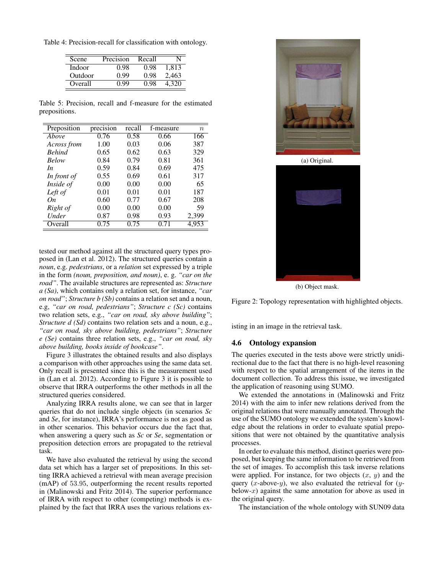Table 4: Precision-recall for classification with ontology.

| Scene   | Precision | Recall |       |
|---------|-----------|--------|-------|
| Indoor  | () 98     | 0.98   | 1.813 |
| Outdoor | O 99      | 0.98   | 2,463 |
| Overall | ) QQ      |        |       |

Table 5: Precision, recall and f-measure for the estimated prepositions.

| Preposition   | precision | recall | f-measure | $\boldsymbol{n}$ |
|---------------|-----------|--------|-----------|------------------|
| Above         | 0.76      | 0.58   | 0.66      | 166              |
| Across from   | 1.00      | 0.03   | 0.06      | 387              |
| <b>Behind</b> | 0.65      | 0.62   | 0.63      | 329              |
| <b>Below</b>  | 0.84      | 0.79   | 0.81      | 361              |
| In.           | 0.59      | 0.84   | 0.69      | 475              |
| In front of   | 0.55      | 0.69   | 0.61      | 317              |
| Inside of     | 0.00      | 0.00   | 0.00      | 65               |
| Left of       | 0.01      | 0.01   | 0.01      | 187              |
| On            | 0.60      | 0.77   | 0.67      | 208              |
| Right of      | 0.00      | 0.00   | 0.00      | 59               |
| Under         | 0.87      | 0.98   | 0.93      | 2,399            |
| Overall       | 0.75      | 0.75   | 0.71      | 4,953            |

tested our method against all the structured query types proposed in (Lan et al. 2012). The structured queries contain a *noun*, e.g. *pedestrians*, or a *relation* set expressed by a triple in the form *(noun, preposition, and noun)*, e. g. *"car on the road"*. The available structures are represented as: *Structure a (Sa)*, which contains only a relation set, for instance, *"car on road"*; *Structure b (Sb)* contains a relation set and a noun, e.g, *"car on road, pedestrians"*; *Structure c (Sc)* contains two relation sets, e.g., *"car on road, sky above building"*; *Structure d (Sd)* contains two relation sets and a noun, e.g., *"car on road, sky above building, pedestrians"*; *Structure e (Se)* contains three relation sets, e.g., *"car on road, sky above building, books inside of bookcase"*.

Figure 3 illustrates the obtained results and also displays a comparison with other approaches using the same data set. Only recall is presented since this is the measurement used in (Lan et al. 2012). According to Figure 3 it is possible to observe that IRRA outperforms the other methods in all the structured queries considered.

Analyzing IRRA results alone, we can see that in larger queries that do not include single objects (in scenarios *Sc* and *Se*, for instance), IRRA's performance is not as good as in other scenarios. This behavior occurs due the fact that, when answering a query such as *Sc* or *Se*, segmentation or preposition detection errors are propagated to the retrieval task.

We have also evaluated the retrieval by using the second data set which has a larger set of prepositions. In this setting IRRA achieved a retrieval with mean average precision (mAP) of 53.95, outperforming the recent results reported in (Malinowski and Fritz 2014). The superior performance of IRRA with respect to other (competing) methods is explained by the fact that IRRA uses the various relations ex-



(a) Original.



(b) Object mask.

Figure 2: Topology representation with highlighted objects.

isting in an image in the retrieval task.

#### 4.6 Ontology expansion

The queries executed in the tests above were strictly unidirectional due to the fact that there is no high-level reasoning with respect to the spatial arrangement of the items in the document collection. To address this issue, we investigated the application of reasoning using SUMO.

We extended the annotations in (Malinowski and Fritz 2014) with the aim to infer new relations derived from the original relations that were manually annotated. Through the use of the SUMO ontology we extended the system's knowledge about the relations in order to evaluate spatial prepositions that were not obtained by the quantitative analysis processes.

In order to evaluate this method, distinct queries were proposed, but keeping the same information to be retrieved from the set of images. To accomplish this task inverse relations were applied. For instance, for two objects  $(x, y)$  and the query (*x*-above-*y*), we also evaluated the retrieval for (*y*below- $x$ ) against the same annotation for above as used in the original query.

The instanciation of the whole ontology with SUN09 data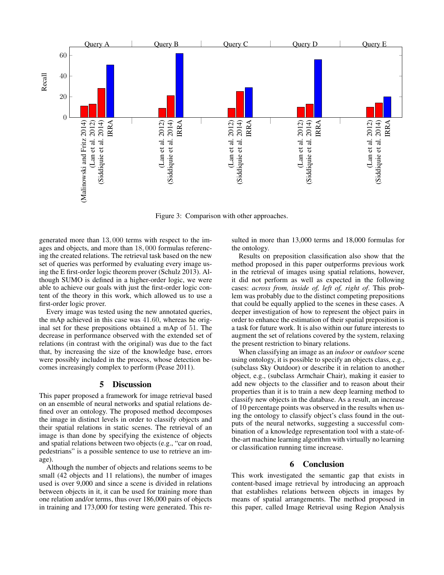

Figure 3: Comparison with other approaches.

generated more than 13, 000 terms with respect to the images and objects, and more than 18, 000 formulas referencing the created relations. The retrieval task based on the new set of queries was performed by evaluating every image using the E first-order logic theorem prover (Schulz 2013). Although SUMO is defined in a higher-order logic, we were able to achieve our goals with just the first-order logic content of the theory in this work, which allowed us to use a first-order logic prover.

Every image was tested using the new annotated queries, the mAp achieved in this case was 41.60, whereas he original set for these prepositions obtained a mAp of 51. The decrease in performance observed with the extended set of relations (in contrast with the original) was due to the fact that, by increasing the size of the knowledge base, errors were possibly included in the process, whose detection becomes increasingly complex to perform (Pease 2011).

#### 5 Discussion

This paper proposed a framework for image retrieval based on an ensemble of neural networks and spatial relations defined over an ontology. The proposed method decomposes the image in distinct levels in order to classify objects and their spatial relations in static scenes. The retrieval of an image is than done by specifying the existence of objects and spatial relations between two objects (e.g., "car on road, pedestrians" is a possible sentence to use to retrieve an image).

Although the number of objects and relations seems to be small (42 objects and 11 relations), the number of images used is over 9,000 and since a scene is divided in relations between objects in it, it can be used for training more than one relation and/or terms, thus over 186,000 pairs of objects in training and 173,000 for testing were generated. This re-

sulted in more than 13,000 terms and 18,000 formulas for the ontology.

Results on preposition classification also show that the method proposed in this paper outperforms previous work in the retrieval of images using spatial relations, however, it did not perform as well as expected in the following cases: *across from, inside of, left of, right of*. This problem was probably due to the distinct competing prepositions that could be equally applied to the scenes in these cases. A deeper investigation of how to represent the object pairs in order to enhance the estimation of their spatial preposition is a task for future work. It is also within our future interests to augment the set of relations covered by the system, relaxing the present restriction to binary relations.

When classifying an image as an *indoor* or *outdoor* scene using ontology, it is possible to specify an objects class, e.g., (subclass Sky Outdoor) or describe it in relation to another object, e.g., (subclass Armchair Chair), making it easier to add new objects to the classifier and to reason about their properties than it is to train a new deep learning method to classify new objects in the database. As a result, an increase of 10 percentage points was observed in the results when using the ontology to classify object's class found in the outputs of the neural networks, suggesting a successful combination of a knowledge representation tool with a state-ofthe-art machine learning algorithm with virtually no learning or classification running time increase.

## 6 Conclusion

This work investigated the semantic gap that exists in content-based image retrieval by introducing an approach that establishes relations between objects in images by means of spatial arrangements. The method proposed in this paper, called Image Retrieval using Region Analysis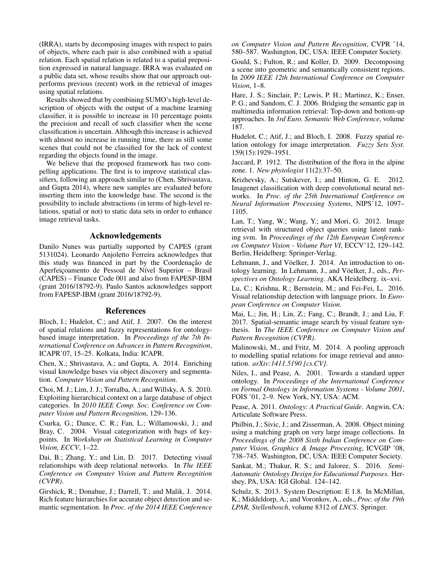(IRRA), starts by decomposing images with respect to pairs of objects, where each pair is also combined with a spatial relation. Each spatial relation is related to a spatial preposition expressed in natural language. IRRA was evaluated on a public data set, whose results show that our approach outperforms previous (recent) work in the retrieval of images using spatial relations.

Results showed that by combining SUMO's high-level description of objects with the output of a machine learning classifier, it is possible to increase in 10 percentage points the precision and recall of such classifier when the scene classification is uncertain. Although this increase is achieved with almost no increase in running time, there as still some scenes that could not be classified for the lack of context regarding the objects found in the image.

We believe that the proposed framework has two compelling applications. The first is to improve statistical classifiers, following an approach similar to (Chen, Shrivastava, and Gupta 2014), where new samples are evaluated before inserting them into the knowledge base. The second is the possibility to include abstractions (in terms of high-level relations, spatial or not) to static data sets in order to enhance image retrieval tasks.

# Acknowledgements

Danilo Nunes was partially supported by CAPES (grant 5131024). Leonardo Anjoletto Ferreira acknowledges that this study was financed in part by the Coordenação de Aperfeicoamento de Pessoal de Nível Superior – Brasil (CAPES) – Finance Code 001 and also from FAPESP-IBM (grant 2016/18792-9). Paulo Santos acknowledges support from FAPESP-IBM (grant 2016/18792-9).

#### References

Bloch, I.; Hudelot, C.; and Atif, J. 2007. On the interest of spatial relations and fuzzy representations for ontologybased image interpretation. In *Proceedings of the 7th International Conference on Advances in Pattern Recognition*, ICAPR'07, 15–25. Kolkata, India: ICAPR.

Chen, X.; Shrivastava, A.; and Gupta, A. 2014. Enriching visual knowledge bases via object discovery and segmentation. *Computer Vision and Pattern Recognition*.

Choi, M. J.; Lim, J. J.; Torralba, A.; and Willsky, A. S. 2010. Exploiting hierarchical context on a large database of object categories. In *2010 IEEE Comp. Soc. Conference on Computer Vision and Pattern Recognition*, 129–136.

Csurka, G.; Dance, C. R.; Fan, L.; Willamowski, J.; and Bray, C. 2004. Visual categorization with bags of keypoints. In *Workshop on Statistical Learning in Computer Vision, ECCV*, 1–22.

Dai, B.; Zhang, Y.; and Lin, D. 2017. Detecting visual relationships with deep relational networks. In *The IEEE Conference on Computer Vision and Pattern Recognition (CVPR)*.

Girshick, R.; Donahue, J.; Darrell, T.; and Malik, J. 2014. Rich feature hierarchies for accurate object detection and semantic segmentation. In *Proc. of the 2014 IEEE Conference* *on Computer Vision and Pattern Recognition*, CVPR '14, 580–587. Washington, DC, USA: IEEE Computer Society.

Gould, S.; Fulton, R.; and Koller, D. 2009. Decomposing a scene into geometric and semantically consistent regions. In *2009 IEEE 12th International Conference on Computer Vision*, 1–8.

Hare, J. S.; Sinclair, P.; Lewis, P. H.; Martinez, K.; Enser, P. G.; and Sandom, C. J. 2006. Bridging the semantic gap in multimedia information retrieval: Top-down and bottom-up approaches. In *3rd Euro. Semantic Web Conference*, volume 187.

Hudelot, C.; Atif, J.; and Bloch, I. 2008. Fuzzy spatial relation ontology for image interpretation. *Fuzzy Sets Syst.* 159(15):1929–1951.

Jaccard, P. 1912. The distribution of the flora in the alpine zone. 1. *New phytologist* 11(2):37–50.

Krizhevsky, A.; Sutskever, I.; and Hinton, G. E. 2012. Imagenet classification with deep convolutional neural networks. In *Proc. of the 25th International Conference on Neural Information Processing Systems*, NIPS'12, 1097– 1105.

Lan, T.; Yang, W.; Wang, Y.; and Mori, G. 2012. Image retrieval with structured object queries using latent ranking svm. In *Proceedings of the 12th European Conference on Computer Vision - Volume Part VI*, ECCV'12, 129–142. Berlin, Heidelberg: Springer-Verlag.

Lehmann, J., and Vöelker, J. 2014. An introduction to ontology learning. In Lehmann, J., and Vöelker, J., eds., Per*spectives on Ontology Learning*. AKA Heidelberg. ix–xvi.

Lu, C.; Krishna, R.; Bernstein, M.; and Fei-Fei, L. 2016. Visual relationship detection with language priors. In *European Conference on Computer Vision*.

Mai, L.; Jin, H.; Lin, Z.; Fang, C.; Brandt, J.; and Liu, F. 2017. Spatial-semantic image search by visual feature synthesis. In *The IEEE Conference on Computer Vision and Pattern Recognition (CVPR)*.

Malinowski, M., and Fritz, M. 2014. A pooling approach to modelling spatial relations for image retrieval and annotation. *arXiv:1411.5190 [cs.CV]*.

Niles, I., and Pease, A. 2001. Towards a standard upper ontology. In *Proceedings of the International Conference on Formal Ontology in Information Systems - Volume 2001*, FOIS '01, 2–9. New York, NY, USA: ACM.

Pease, A. 2011. *Ontology: A Practical Guide*. Angwin, CA: Articulate Software Press.

Philbin, J.; Sivic, J.; and Zisserman, A. 2008. Object mining using a matching graph on very large image collections. In *Proceedings of the 2008 Sixth Indian Conference on Computer Vision, Graphics & Image Processing*, ICVGIP '08, 738–745. Washington, DC, USA: IEEE Computer Society.

Sankat, M.; Thakur, R. S.; and Jaloree, S. 2016. *Semi-Automatic Ontology Design for Educational Purposes*. Hershey, PA, USA: IGI Global. 124–142.

Schulz, S. 2013. System Description: E 1.8. In McMillan, K.; Middeldorp, A.; and Voronkov, A., eds., *Proc. of the 19th LPAR, Stellenbosch*, volume 8312 of *LNCS*. Springer.